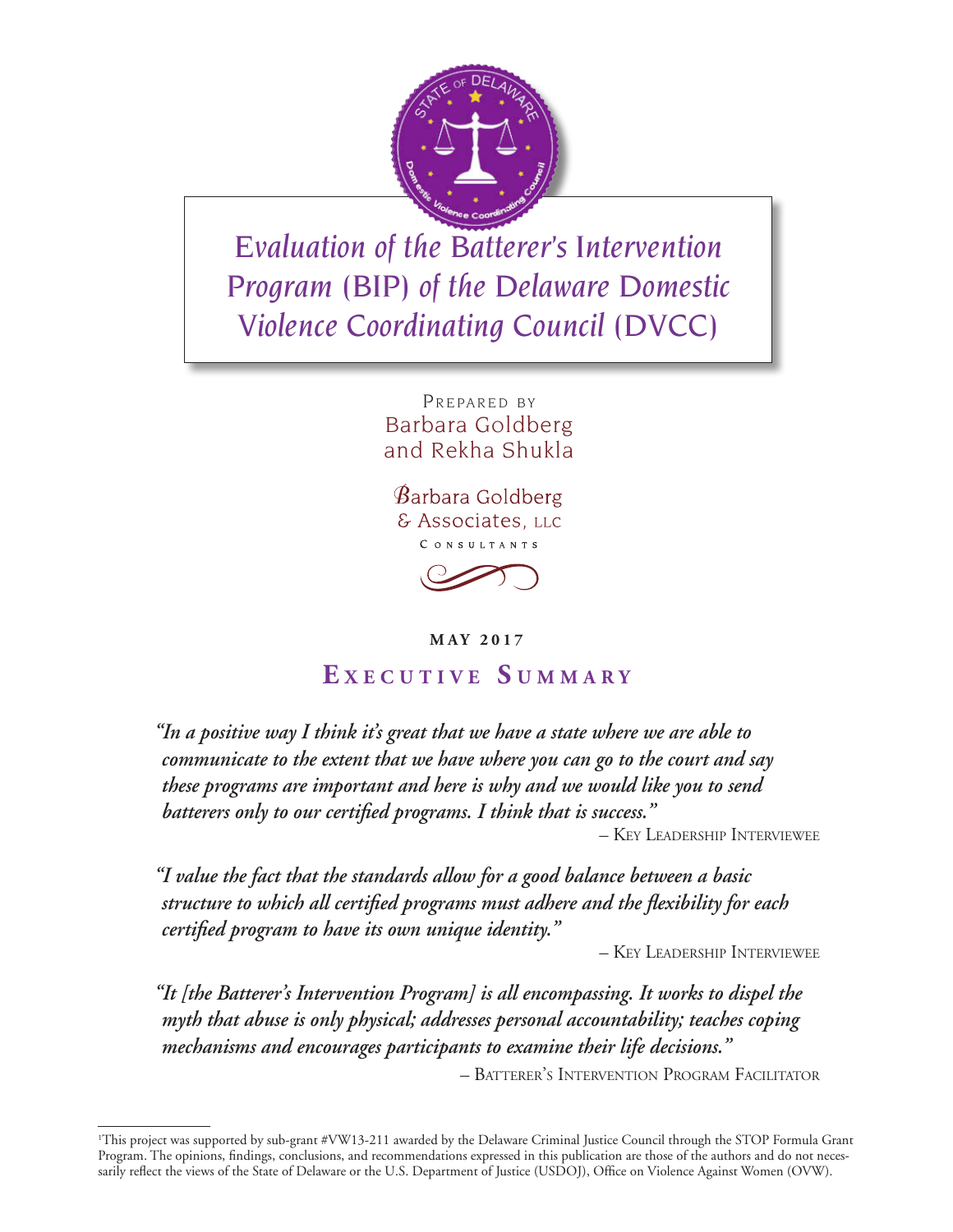

*Evaluation of the Batterer's Intervention Program (BIP) of the Delaware Domestic Violence Coordinating Council (DVCC)*

> PREPARED BY Barbara Goldberg and Rekha Shukla

 $\beta$ arbara Goldberg & Associates, LLC CONSULTANTS



### **MAY 2017**

# **E <sup>x</sup> <sup>e</sup> c u t i v e S u m m a r y**

*"In a positive way I think it's great that we have a state where we are able to communicate to the extent that we have where you can go to the court and say these programs are important and here is why and we would like you to send batterers only to our certified programs. I think that is success."* 

– Key Leadership Interviewee

*"I value the fact that the standards allow for a good balance between a basic structure to which all certified programs must adhere and the flexibility for each certified program to have its own unique identity."* 

– Key Leadership Interviewee

*"It [the Batterer's Intervention Program] is all encompassing. It works to dispel the myth that abuse is only physical; addresses personal accountability; teaches coping mechanisms and encourages participants to examine their life decisions."* 

– Batterer's Intervention Program Facilitator

<sup>1</sup> This project was supported by sub-grant #VW13-211 awarded by the Delaware Criminal Justice Council through the STOP Formula Grant Program. The opinions, findings, conclusions, and recommendations expressed in this publication are those of the authors and do not necessarily reflect the views of the State of Delaware or the U.S. Department of Justice (USDOJ), Office on Violence Against Women (OVW).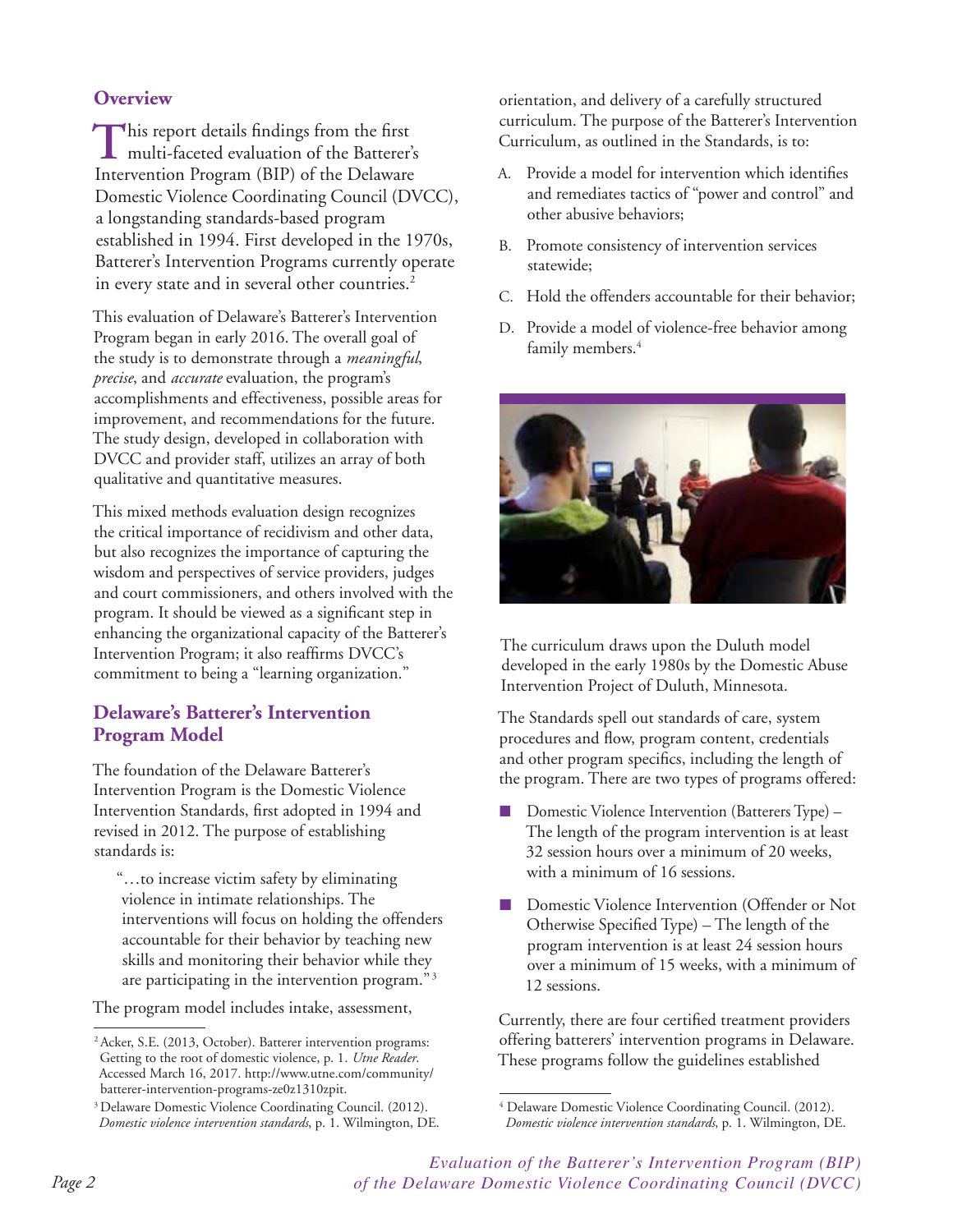### **Overview**

This report details findings from the first<br>multi-faceted evaluation of the Batterer's Intervention Program (BIP) of the Delaware Domestic Violence Coordinating Council (DVCC), a longstanding standards-based program established in 1994. First developed in the 1970s, Batterer's Intervention Programs currently operate in every state and in several other countries.<sup>2</sup>

This evaluation of Delaware's Batterer's Intervention Program began in early 2016. The overall goal of the study is to demonstrate through a *meaningful*, *precise*, and *accurate* evaluation, the program's accomplishments and effectiveness, possible areas for improvement, and recommendations for the future. The study design, developed in collaboration with DVCC and provider staff, utilizes an array of both qualitative and quantitative measures.

This mixed methods evaluation design recognizes the critical importance of recidivism and other data, but also recognizes the importance of capturing the wisdom and perspectives of service providers, judges and court commissioners, and others involved with the program. It should be viewed as a significant step in enhancing the organizational capacity of the Batterer's Intervention Program; it also reaffirms DVCC's commitment to being a "learning organization."

### **Delaware's Batterer's Intervention Program Model**

The foundation of the Delaware Batterer's Intervention Program is the Domestic Violence Intervention Standards, first adopted in 1994 and revised in 2012. The purpose of establishing standards is:

"…to increase victim safety by eliminating violence in intimate relationships. The interventions will focus on holding the offenders accountable for their behavior by teaching new skills and monitoring their behavior while they are participating in the intervention program." <sup>3</sup>

The program model includes intake, assessment,

orientation, and delivery of a carefully structured curriculum. The purpose of the Batterer's Intervention Curriculum, as outlined in the Standards, is to:

- A. Provide a model for intervention which identifies and remediates tactics of "power and control" and other abusive behaviors;
- B. Promote consistency of intervention services statewide;
- C. Hold the offenders accountable for their behavior;
- D. Provide a model of violence-free behavior among family members.<sup>4</sup>



The curriculum draws upon the Duluth model developed in the early 1980s by the Domestic Abuse Intervention Project of Duluth, Minnesota.

The Standards spell out standards of care, system procedures and flow, program content, credentials and other program specifics, including the length of the program. There are two types of programs offered:

- Domestic Violence Intervention (Batterers Type) The length of the program intervention is at least 32 session hours over a minimum of 20 weeks, with a minimum of 16 sessions.
- Domestic Violence Intervention (Offender or Not Otherwise Specified Type) – The length of the program intervention is at least 24 session hours over a minimum of 15 weeks, with a minimum of 12 sessions.

Currently, there are four certified treatment providers offering batterers' intervention programs in Delaware. These programs follow the guidelines established

<sup>2</sup> Acker, S.E. (2013, October). Batterer intervention programs: Getting to the root of domestic violence, p. 1. *Utne Reader*. Accessed March 16, 2017. http://www.utne.com/community/ batterer-intervention-programs-ze0z1310zpit.

<sup>&</sup>lt;sup>3</sup> Delaware Domestic Violence Coordinating Council. (2012). *Domestic violence intervention standards*, p. 1. Wilmington, DE.

<sup>4</sup> Delaware Domestic Violence Coordinating Council. (2012).

*Domestic violence intervention standards*, p. 1. Wilmington, DE.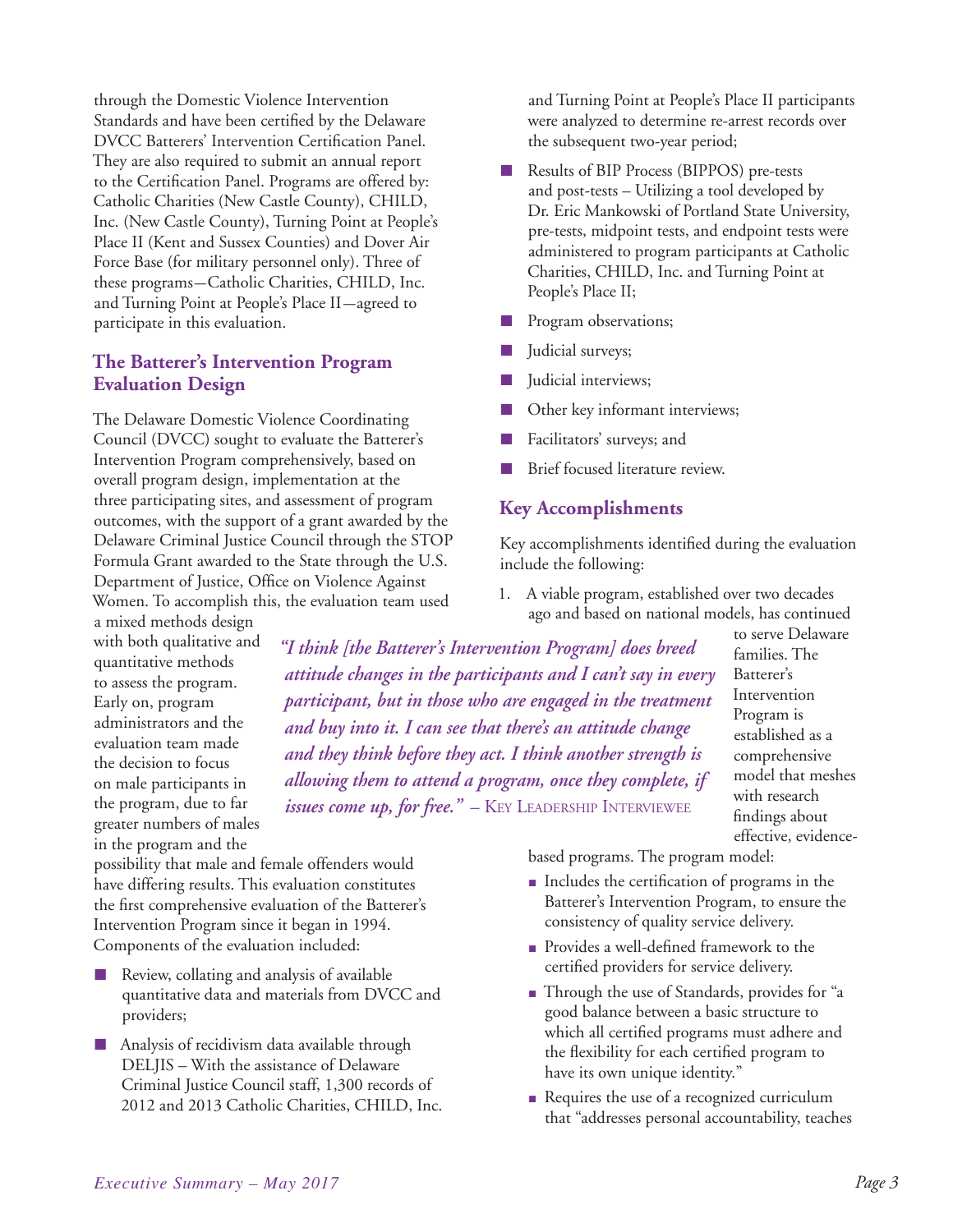through the Domestic Violence Intervention Standards and have been certified by the Delaware DVCC Batterers' Intervention Certification Panel. They are also required to submit an annual report to the Certification Panel. Programs are offered by: Catholic Charities (New Castle County), CHILD, Inc. (New Castle County), Turning Point at People's Place II (Kent and Sussex Counties) and Dover Air Force Base (for military personnel only). Three of these programs—Catholic Charities, CHILD, Inc. and Turning Point at People's Place II—agreed to participate in this evaluation.

### **The Batterer's Intervention Program Evaluation Design**

The Delaware Domestic Violence Coordinating Council (DVCC) sought to evaluate the Batterer's Intervention Program comprehensively, based on overall program design, implementation at the three participating sites, and assessment of program outcomes, with the support of a grant awarded by the Delaware Criminal Justice Council through the STOP Formula Grant awarded to the State through the U.S. Department of Justice, Office on Violence Against Women. To accomplish this, the evaluation team used

a mixed methods design with both qualitative and quantitative methods to assess the program. Early on, program administrators and the evaluation team made the decision to focus on male participants in the program, due to far greater numbers of males in the program and the

possibility that male and female offenders would have differing results. This evaluation constitutes the first comprehensive evaluation of the Batterer's Intervention Program since it began in 1994. Components of the evaluation included:

- Review, collating and analysis of available quantitative data and materials from DVCC and providers;
- Analysis of recidivism data available through DELJIS – With the assistance of Delaware Criminal Justice Council staff, 1,300 records of 2012 and 2013 Catholic Charities, CHILD, Inc.

and Turning Point at People's Place II participants were analyzed to determine re-arrest records over the subsequent two-year period;

- Results of BIP Process (BIPPOS) pre-tests and post-tests – Utilizing a tool developed by Dr. Eric Mankowski of Portland State University, pre-tests, midpoint tests, and endpoint tests were administered to program participants at Catholic Charities, CHILD, Inc. and Turning Point at People's Place II;
- Program observations;
- Judicial surveys;
- Judicial interviews;
- Other key informant interviews;
- Facilitators' surveys; and
- Brief focused literature review.

## **Key Accomplishments**

Key accomplishments identified during the evaluation include the following:

1. A viable program, established over two decades ago and based on national models, has continued

*"I think [the Batterer's Intervention Program] does breed attitude changes in the participants and I can't say in every participant, but in those who are engaged in the treatment and buy into it. I can see that there's an attitude change and they think before they act. I think another strength is allowing them to attend a program, once they complete, if issues come up, for free.*" - Key Leadership Interviewee

to serve Delaware families. The Batterer's Intervention Program is established as a comprehensive model that meshes with research findings about effective, evidence-

based programs. The program model:

- Includes the certification of programs in the Batterer's Intervention Program, to ensure the consistency of quality service delivery.
- Provides a well-defined framework to the certified providers for service delivery.
- Through the use of Standards, provides for "a good balance between a basic structure to which all certified programs must adhere and the flexibility for each certified program to have its own unique identity."
- Requires the use of a recognized curriculum that "addresses personal accountability, teaches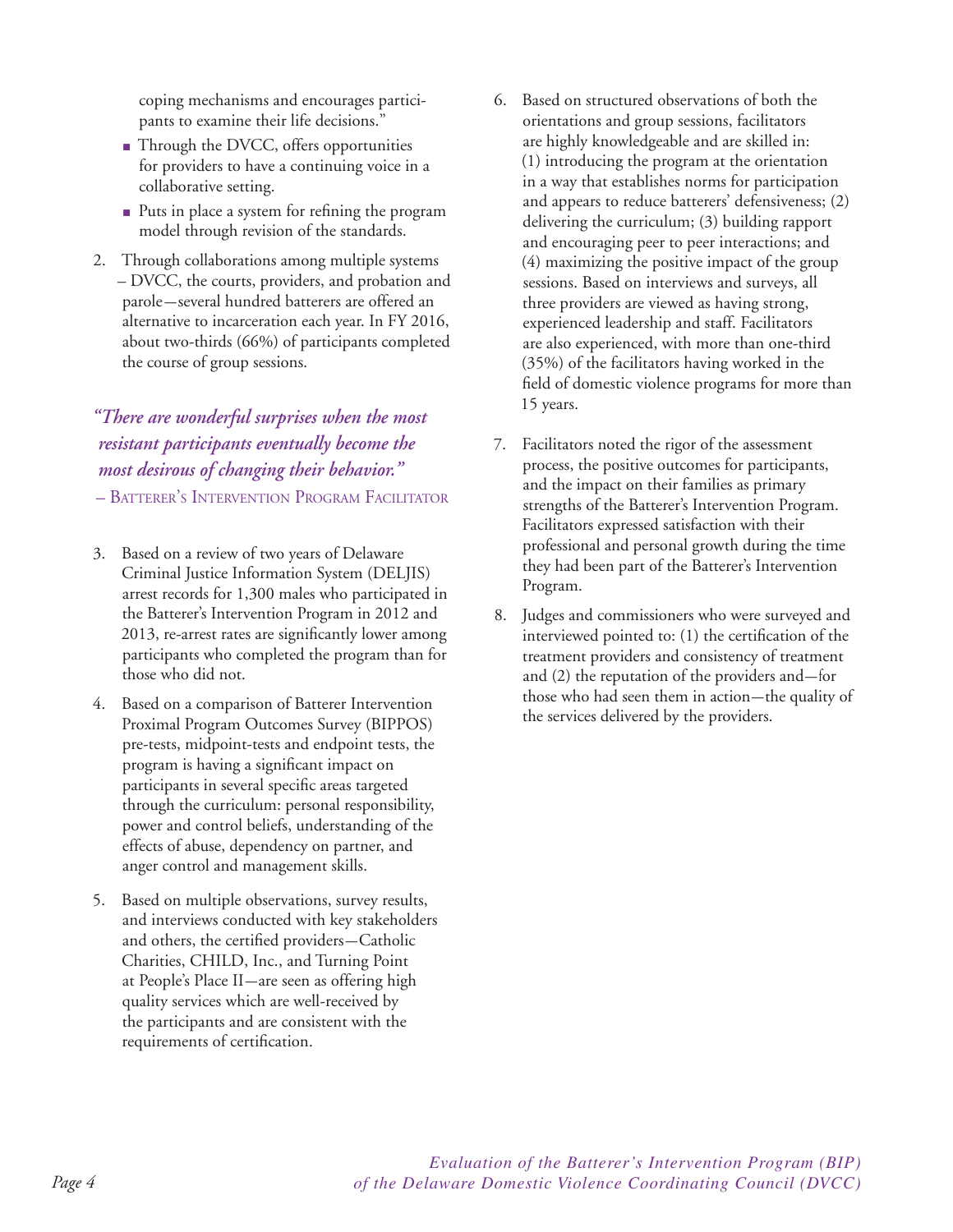coping mechanisms and encourages participants to examine their life decisions."

- Through the DVCC, offers opportunities for providers to have a continuing voice in a collaborative setting.
- Puts in place a system for refining the program model through revision of the standards.
- 2. Through collaborations among multiple systems – DVCC, the courts, providers, and probation and parole—several hundred batterers are offered an alternative to incarceration each year. In FY 2016, about two-thirds (66%) of participants completed the course of group sessions.

## *"There are wonderful surprises when the most resistant participants eventually become the most desirous of changing their behavior."*

– Batterer's Intervention Program Facilitator

- 3. Based on a review of two years of Delaware Criminal Justice Information System (DELJIS) arrest records for 1,300 males who participated in the Batterer's Intervention Program in 2012 and 2013, re-arrest rates are significantly lower among participants who completed the program than for those who did not.
- 4. Based on a comparison of Batterer Intervention Proximal Program Outcomes Survey (BIPPOS) pre-tests, midpoint-tests and endpoint tests, the program is having a significant impact on participants in several specific areas targeted through the curriculum: personal responsibility, power and control beliefs, understanding of the effects of abuse, dependency on partner, and anger control and management skills.
- 5. Based on multiple observations, survey results, and interviews conducted with key stakeholders and others, the certified providers—Catholic Charities, CHILD, Inc., and Turning Point at People's Place II—are seen as offering high quality services which are well-received by the participants and are consistent with the requirements of certification.
- 6. Based on structured observations of both the orientations and group sessions, facilitators are highly knowledgeable and are skilled in: (1) introducing the program at the orientation in a way that establishes norms for participation and appears to reduce batterers' defensiveness; (2) delivering the curriculum; (3) building rapport and encouraging peer to peer interactions; and (4) maximizing the positive impact of the group sessions. Based on interviews and surveys, all three providers are viewed as having strong, experienced leadership and staff. Facilitators are also experienced, with more than one-third (35%) of the facilitators having worked in the field of domestic violence programs for more than 15 years.
- 7. Facilitators noted the rigor of the assessment process, the positive outcomes for participants, and the impact on their families as primary strengths of the Batterer's Intervention Program. Facilitators expressed satisfaction with their professional and personal growth during the time they had been part of the Batterer's Intervention Program.
- 8. Judges and commissioners who were surveyed and interviewed pointed to: (1) the certification of the treatment providers and consistency of treatment and (2) the reputation of the providers and— for those who had seen them in action—the quality of the services delivered by the providers.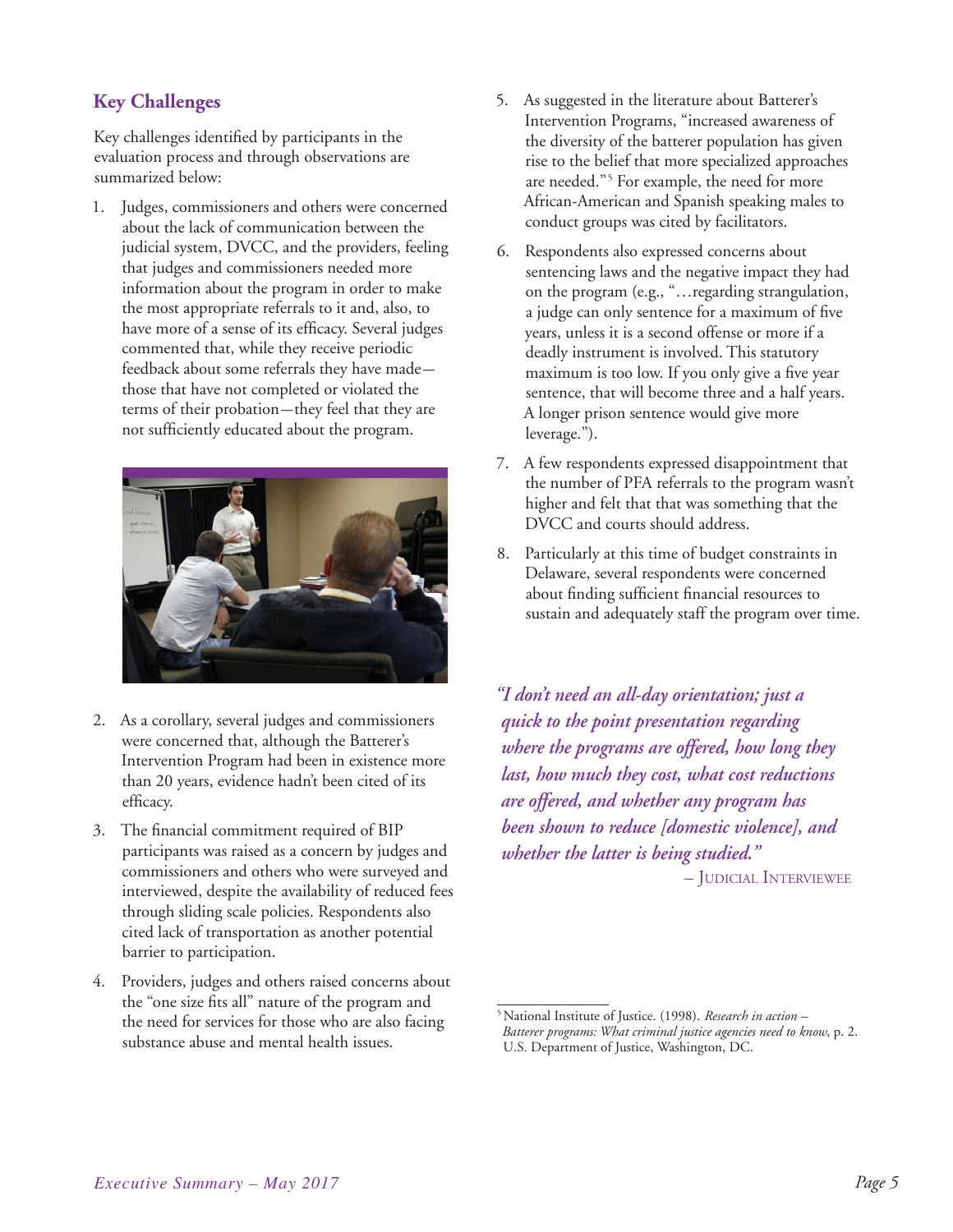## **Key Challenges**

Key challenges identified by participants in the evaluation process and through observations are summarized below:

1. Judges, commissioners and others were concerned about the lack of communication between the judicial system, DVCC, and the providers, feeling that judges and commissioners needed more information about the program in order to make the most appropriate referrals to it and, also, to have more of a sense of its efficacy. Several judges commented that, while they receive periodic feedback about some referrals they have made those that have not completed or violated the terms of their probation—they feel that they are not sufficiently educated about the program.



- 2. As a corollary, several judges and commissioners were concerned that, although the Batterer's Intervention Program had been in existence more than 20 years, evidence hadn't been cited of its efficacy.
- 3. The financial commitment required of BIP participants was raised as a concern by judges and commissioners and others who were surveyed and interviewed, despite the availability of reduced fees through sliding scale policies. Respondents also cited lack of transportation as another potential barrier to participation.
- 4. Providers, judges and others raised concerns about the "one size fits all" nature of the program and the need for services for those who are also facing substance abuse and mental health issues.
- 5. As suggested in the literature about Batterer's Intervention Programs, "increased awareness of the diversity of the batterer population has given rise to the belief that more specialized approaches are needed."5 For example, the need for more African-American and Spanish speaking males to conduct groups was cited by facilitators.
- 6. Respondents also expressed concerns about sentencing laws and the negative impact they had on the program (e.g., "…regarding strangulation, a judge can only sentence for a maximum of five years, unless it is a second offense or more if a deadly instrument is involved. This statutory maximum is too low. If you only give a five year sentence, that will become three and a half years. A longer prison sentence would give more leverage.").
- 7. A few respondents expressed disappointment that the number of PFA referrals to the program wasn't higher and felt that that was something that the DVCC and courts should address.
- 8. Particularly at this time of budget constraints in Delaware, several respondents were concerned about finding sufficient financial resources to sustain and adequately staff the program over time.

*"I don't need an all-day orientation; just a quick to the point presentation regarding where the programs are offered, how long they last, how much they cost, what cost reductions are offered, and whether any program has been shown to reduce [domestic violence], and whether the latter is being studied."* – Judicial Interviewee

<sup>5</sup> National Institute of Justice. (1998). *Research in action –* 

*Batterer programs: What criminal justice agencies need to know*, p. 2. U.S. Department of Justice, Washington, DC.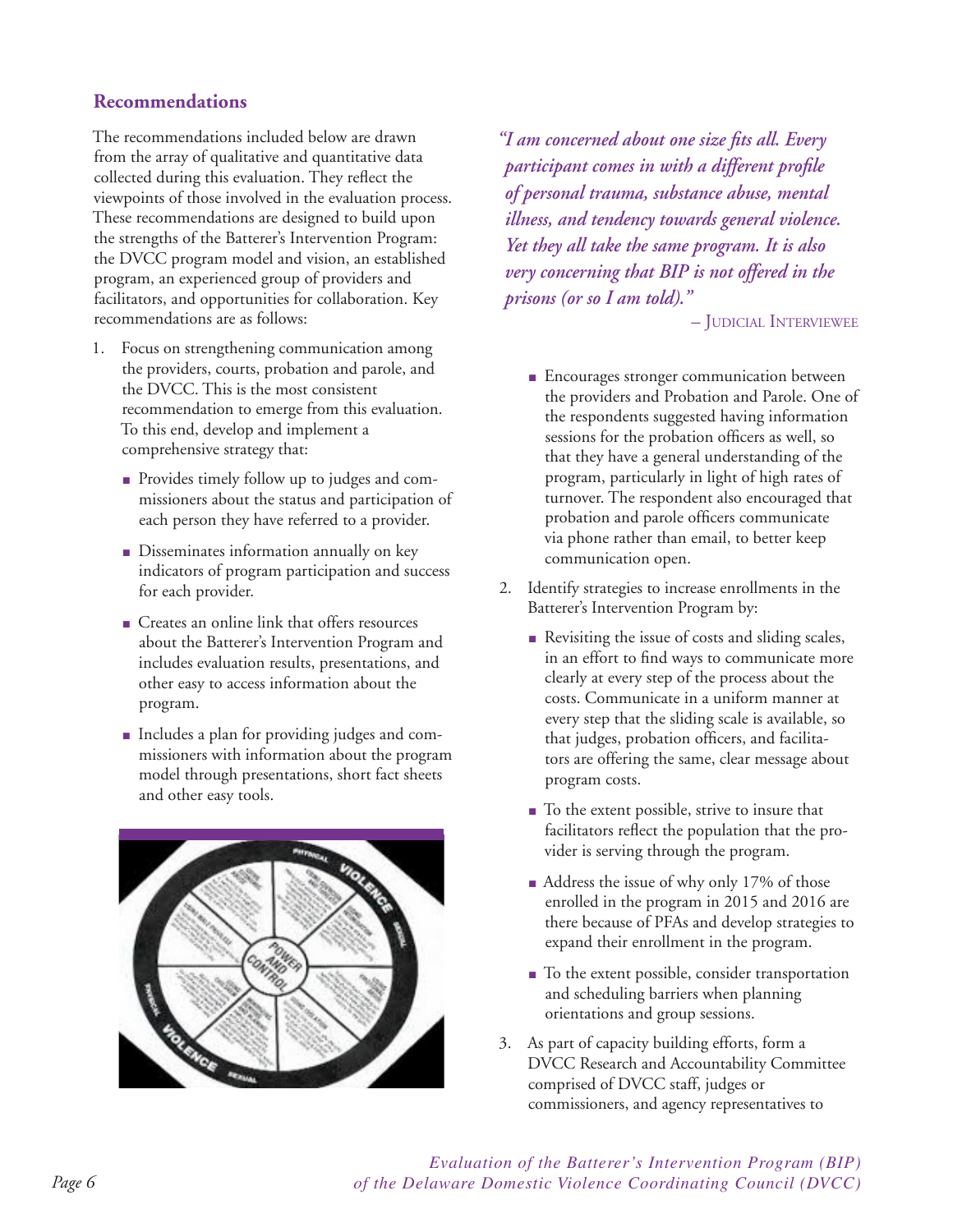### **Recommendations**

The recommendations included below are drawn from the array of qualitative and quantitative data collected during this evaluation. They reflect the viewpoints of those involved in the evaluation process. These recommendations are designed to build upon the strengths of the Batterer's Intervention Program: the DVCC program model and vision, an established program, an experienced group of providers and facilitators, and opportunities for collaboration. Key recommendations are as follows:

- 1. Focus on strengthening communication among the providers, courts, probation and parole, and the DVCC. This is the most consistent recommendation to emerge from this evaluation. To this end, develop and implement a comprehensive strategy that:
	- Provides timely follow up to judges and commissioners about the status and participation of each person they have referred to a provider.
	- Disseminates information annually on key indicators of program participation and success for each provider.
	- Creates an online link that offers resources about the Batterer's Intervention Program and includes evaluation results, presentations, and other easy to access information about the program.
	- Includes a plan for providing judges and commissioners with information about the program model through presentations, short fact sheets and other easy tools.



*"I am concerned about one size fits all. Every participant comes in with a different profile of personal trauma, substance abuse, mental illness, and tendency towards general violence. Yet they all take the same program. It is also very concerning that BIP is not offered in the prisons (or so I am told)."* 

– Judicial Interviewee

- Encourages stronger communication between the providers and Probation and Parole. One of the respondents suggested having information sessions for the probation officers as well, so that they have a general understanding of the program, particularly in light of high rates of turnover. The respondent also encouraged that probation and parole officers communicate via phone rather than email, to better keep communication open.
- 2. Identify strategies to increase enrollments in the Batterer's Intervention Program by:
	- Revisiting the issue of costs and sliding scales, in an effort to find ways to communicate more clearly at every step of the process about the costs. Communicate in a uniform manner at every step that the sliding scale is available, so that judges, probation officers, and facilitators are offering the same, clear message about program costs.
	- To the extent possible, strive to insure that facilitators reflect the population that the provider is serving through the program.
	- Address the issue of why only 17% of those enrolled in the program in 2015 and 2016 are there because of PFAs and develop strategies to expand their enrollment in the program.
	- To the extent possible, consider transportation and scheduling barriers when planning orientations and group sessions.
- 3. As part of capacity building efforts, form a DVCC Research and Accountability Committee comprised of DVCC staff, judges or commissioners, and agency representatives to

*Evaluation of the Batterer's Intervention Program (BIP) of the Delaware Domestic Violence Coordinating Council (DVCC)*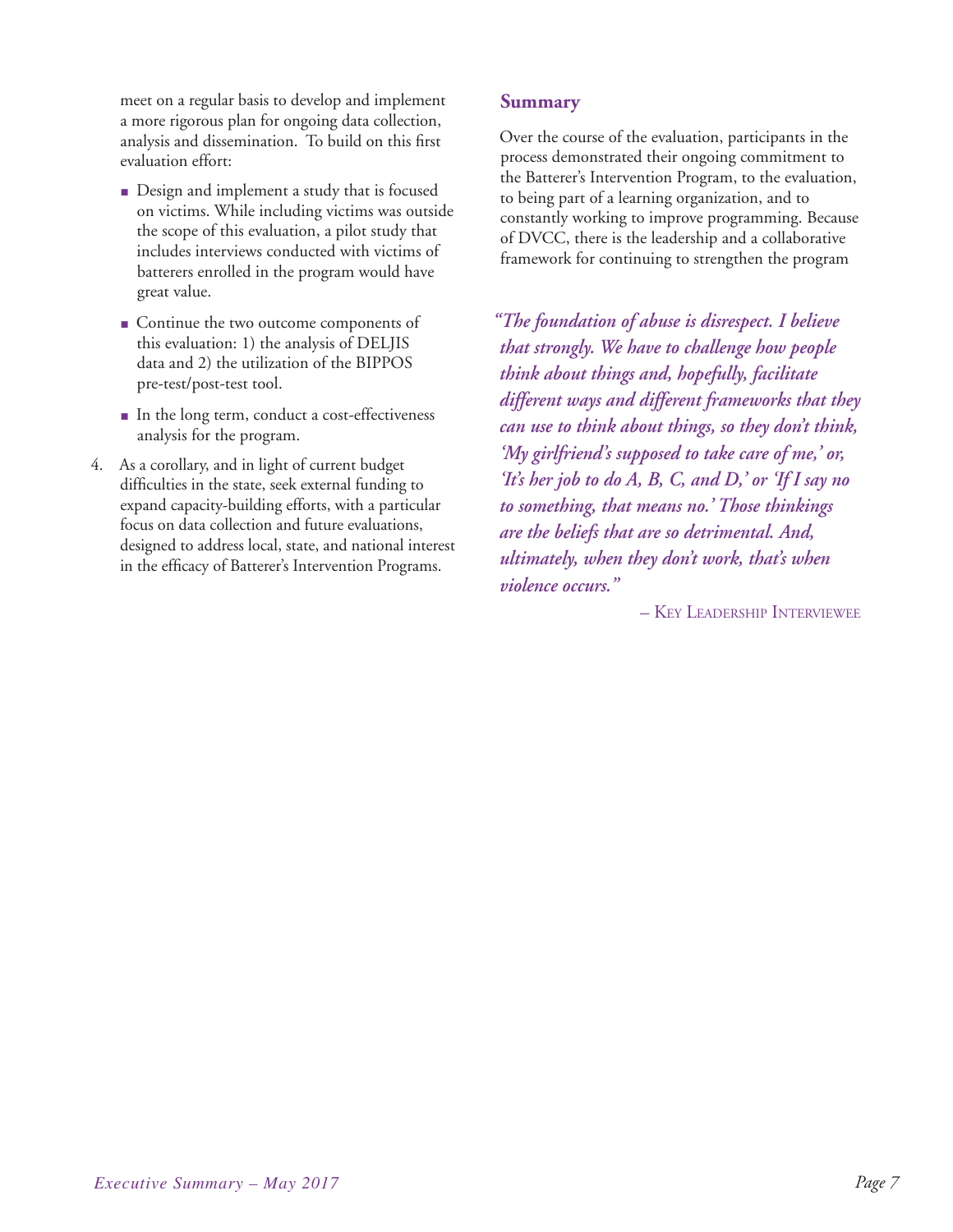meet on a regular basis to develop and implement a more rigorous plan for ongoing data collection, analysis and dissemination. To build on this first evaluation effort:

- Design and implement a study that is focused on victims. While including victims was outside the scope of this evaluation, a pilot study that includes interviews conducted with victims of batterers enrolled in the program would have great value.
- Continue the two outcome components of this evaluation: 1) the analysis of DELJIS data and 2) the utilization of the BIPPOS pre-test/post-test tool.
- In the long term, conduct a cost-effectiveness analysis for the program.
- 4. As a corollary, and in light of current budget difficulties in the state, seek external funding to expand capacity-building efforts, with a particular focus on data collection and future evaluations, designed to address local, state, and national interest in the efficacy of Batterer's Intervention Programs.

#### **Summary**

Over the course of the evaluation, participants in the process demonstrated their ongoing commitment to the Batterer's Intervention Program, to the evaluation, to being part of a learning organization, and to constantly working to improve programming. Because of DVCC, there is the leadership and a collaborative framework for continuing to strengthen the program

*"The foundation of abuse is disrespect. I believe that strongly. We have to challenge how people think about things and, hopefully, facilitate different ways and different frameworks that they can use to think about things, so they don't think, 'My girlfriend's supposed to take care of me,' or, 'It's her job to do A, B, C, and D,' or 'If I say no to something, that means no.' Those thinkings are the beliefs that are so detrimental. And, ultimately, when they don't work, that's when violence occurs."* 

– Key Leadership Interviewee